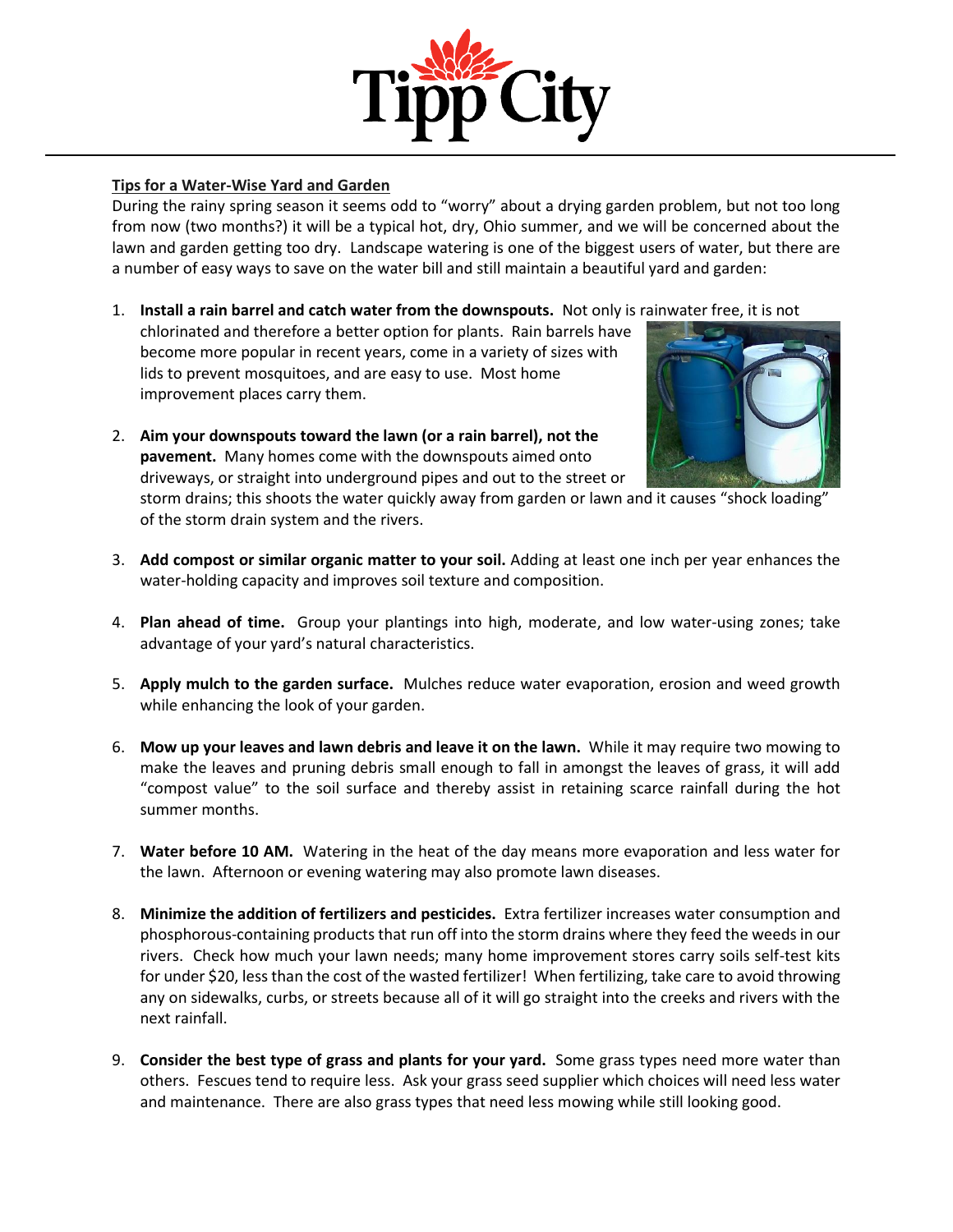

## **Tips for a Water-Wise Yard and Garden**

During the rainy spring season it seems odd to "worry" about a drying garden problem, but not too long from now (two months?) it will be a typical hot, dry, Ohio summer, and we will be concerned about the lawn and garden getting too dry. Landscape watering is one of the biggest users of water, but there are a number of easy ways to save on the water bill and still maintain a beautiful yard and garden:

1. **Install a rain barrel and catch water from the downspouts.** Not only is rainwater free, it is not

chlorinated and therefore a better option for plants. Rain barrels have become more popular in recent years, come in a variety of sizes with lids to prevent mosquitoes, and are easy to use. Most home improvement places carry them.

2. **Aim your downspouts toward the lawn (or a rain barrel), not the pavement.** Many homes come with the downspouts aimed onto driveways, or straight into underground pipes and out to the street or



storm drains; this shoots the water quickly away from garden or lawn and it causes "shock loading" of the storm drain system and the rivers.

- 3. **Add compost or similar organic matter to your soil.** Adding at least one inch per year enhances the water-holding capacity and improves soil texture and composition.
- 4. **Plan ahead of time.** Group your plantings into high, moderate, and low water-using zones; take advantage of your yard's natural characteristics.
- 5. **Apply mulch to the garden surface.** Mulches reduce water evaporation, erosion and weed growth while enhancing the look of your garden.
- 6. **Mow up your leaves and lawn debris and leave it on the lawn.** While it may require two mowing to make the leaves and pruning debris small enough to fall in amongst the leaves of grass, it will add "compost value" to the soil surface and thereby assist in retaining scarce rainfall during the hot summer months.
- 7. **Water before 10 AM.** Watering in the heat of the day means more evaporation and less water for the lawn. Afternoon or evening watering may also promote lawn diseases.
- 8. **Minimize the addition of fertilizers and pesticides.** Extra fertilizer increases water consumption and phosphorous-containing products that run off into the storm drains where they feed the weeds in our rivers. Check how much your lawn needs; many home improvement stores carry soils self-test kits for under \$20, less than the cost of the wasted fertilizer! When fertilizing, take care to avoid throwing any on sidewalks, curbs, or streets because all of it will go straight into the creeks and rivers with the next rainfall.
- 9. **Consider the best type of grass and plants for your yard.** Some grass types need more water than others. Fescues tend to require less. Ask your grass seed supplier which choices will need less water and maintenance. There are also grass types that need less mowing while still looking good.